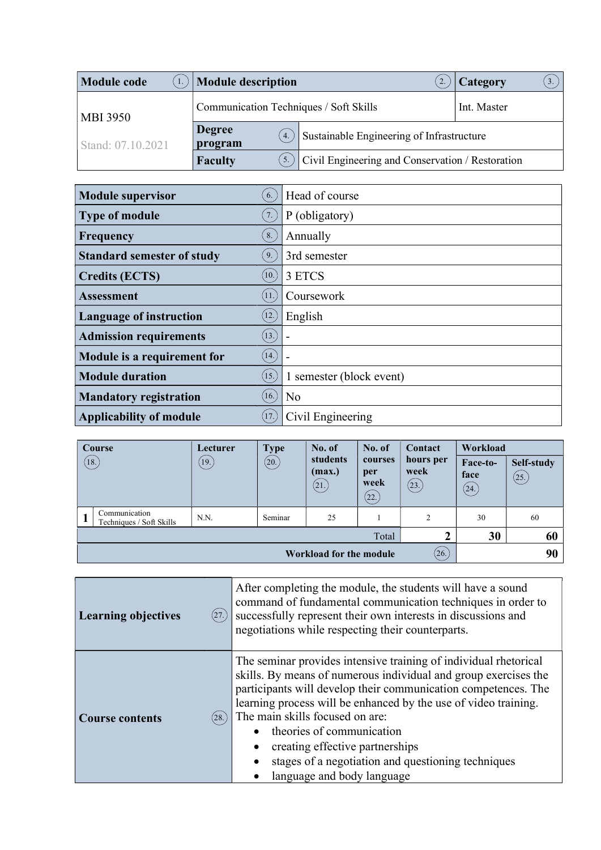| <b>Module code</b> | Module description                                                                                                    |                                                  | Category<br>3. |
|--------------------|-----------------------------------------------------------------------------------------------------------------------|--------------------------------------------------|----------------|
| <b>MBI 3950</b>    | Communication Techniques / Soft Skills<br><b>Degree</b><br>Sustainable Engineering of Infrastructure<br>4.<br>program |                                                  | Int. Master    |
| Stand: 07.10.2021  |                                                                                                                       |                                                  |                |
|                    | <b>Faculty</b>                                                                                                        | Civil Engineering and Conservation / Restoration |                |

| <b>Module supervisor</b>          | 6.                 | Head of course           |
|-----------------------------------|--------------------|--------------------------|
| <b>Type of module</b>             | 7.                 | P (obligatory)           |
| Frequency                         | 8.                 | Annually                 |
| <b>Standard semester of study</b> | 9.                 | 3rd semester             |
| <b>Credits (ECTS)</b>             | (10.)              | 3 ETCS                   |
| <b>Assessment</b>                 | 11.                | Coursework               |
| <b>Language of instruction</b>    | $\left(12.\right)$ | English                  |
| <b>Admission requirements</b>     | (13.)              |                          |
| Module is a requirement for       | (14.)              |                          |
| <b>Module duration</b>            | (15.)              | 1 semester (block event) |
| <b>Mandatory registration</b>     | 16.                | N <sub>o</sub>           |
| <b>Applicability of module</b>    | (17)               | Civil Engineering        |

| Course                                         | Lecturer | <b>Type</b> | No. of                     | No. of                         | Contact                    | Workload                 |                    |
|------------------------------------------------|----------|-------------|----------------------------|--------------------------------|----------------------------|--------------------------|--------------------|
| $\left(18.\right)$                             | (19)     | (20.)       | students<br>(max.)<br>(21. | courses<br>per<br>week<br>(22. | hours per<br>week<br>(23.) | Face-to-<br>face<br>(24) | Self-study<br>(25) |
| Communication<br>п<br>Techniques / Soft Skills | N.N.     | Seminar     | 25                         |                                | 2                          | 30                       | 60                 |
| Total                                          |          |             |                            |                                |                            | 30                       | 60                 |
| (26)<br>90<br>Workload for the module          |          |             |                            |                                |                            |                          |                    |

| (27.)<br><b>Learning objectives</b> | After completing the module, the students will have a sound<br>command of fundamental communication techniques in order to<br>successfully represent their own interests in discussions and<br>negotiations while respecting their counterparts.                                                                                                                                                                                                                |
|-------------------------------------|-----------------------------------------------------------------------------------------------------------------------------------------------------------------------------------------------------------------------------------------------------------------------------------------------------------------------------------------------------------------------------------------------------------------------------------------------------------------|
| (28.)<br><b>Course contents</b>     | The seminar provides intensive training of individual rhetorical<br>skills. By means of numerous individual and group exercises the<br>participants will develop their communication competences. The<br>learning process will be enhanced by the use of video training.<br>The main skills focused on are:<br>theories of communication<br>creating effective partnerships<br>stages of a negotiation and questioning techniques<br>language and body language |